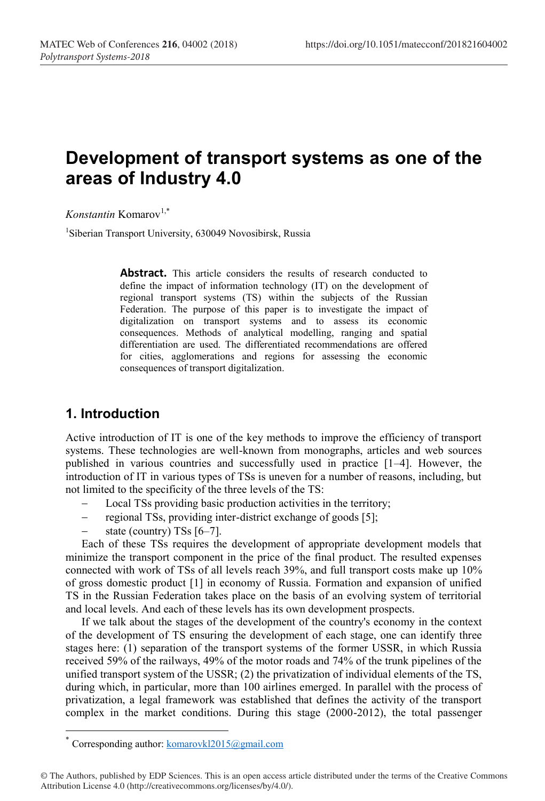# **Development of transport systems as one of the areas of Industry 4.0**

*Konstantin* Komarov<sup>1,\*</sup>

<sup>1</sup>Siberian Transport University, 630049 Novosibirsk, Russia

Abstract. This article considers the results of research conducted to define the impact of information technology (IT) on the development of regional transport systems (TS) within the subjects of the Russian Federation. The purpose of this paper is to investigate the impact of digitalization on transport systems and to assess its economic consequences. Methods of analytical modelling, ranging and spatial differentiation are used. The differentiated recommendations are offered for cities, agglomerations and regions for assessing the economic consequences of transport digitalization.

# **1. Introduction**

Active introduction of IT is one of the key methods to improve the efficiency of transport systems. These technologies are well-known from monographs, articles and web sources published in various countries and successfully used in practice [1–4]. However, the introduction of IT in various types of TSs is uneven for a number of reasons, including, but not limited to the specificity of the three levels of the TS:

- Local TSs providing basic production activities in the territory;
- regional TSs, providing inter-district exchange of goods [5];
- state (country) TSs [6–7].

Each of these TSs requires the development of appropriate development models that minimize the transport component in the price of the final product. The resulted expenses connected with work of TSs of all levels reach 39%, and full transport costs make up 10% of gross domestic product [1] in economy of Russia. Formation and expansion of unified TS in the Russian Federation takes place on the basis of an evolving system of territorial and local levels. And each of these levels has its own development prospects.

If we talk about the stages of the development of the country's economy in the context of the development of TS ensuring the development of each stage, one can identify three stages here: (1) separation of the transport systems of the former USSR, in which Russia received 59% of the railways, 49% of the motor roads and 74% of the trunk pipelines of the unified transport system of the USSR; (2) the privatization of individual elements of the TS, during which, in particular, more than 100 airlines emerged. In parallel with the process of privatization, a legal framework was established that defines the activity of the transport complex in the market conditions. During this stage (2000-2012), the total passenger

Corresponding author: komarovkl2015@gmail.com

<sup>©</sup> The Authors, published by EDP Sciences. This is an open access article distributed under the terms of the Creative Commons Attribution License 4.0 (http://creativecommons.org/licenses/by/4.0/).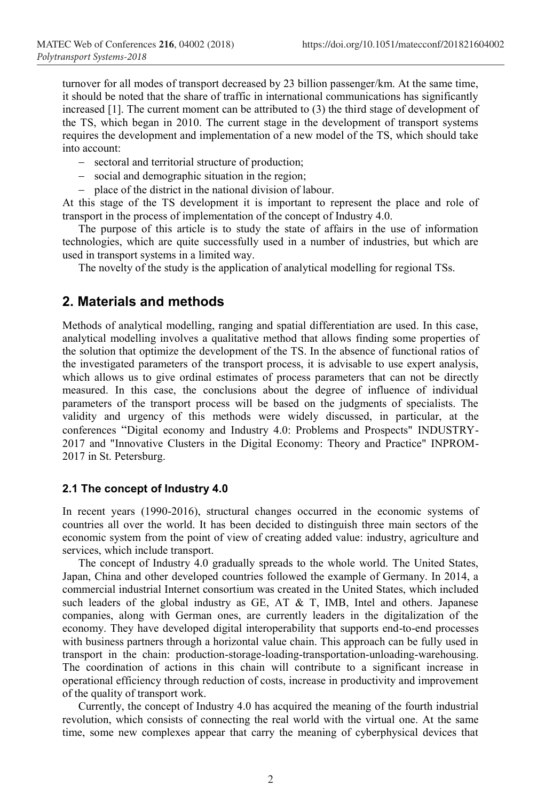turnover for all modes of transport decreased by 23 billion passenger/km. At the same time, it should be noted that the share of traffic in international communications has significantly increased [1]. The current moment can be attributed to (3) the third stage of development of the TS, which began in 2010. The current stage in the development of transport systems requires the development and implementation of a new model of the TS, which should take into account:

- sectoral and territorial structure of production;
- social and demographic situation in the region;
- place of the district in the national division of labour.

At this stage of the TS development it is important to represent the place and role of transport in the process of implementation of the concept of Industry 4.0.

The purpose of this article is to study the state of affairs in the use of information technologies, which are quite successfully used in a number of industries, but which are used in transport systems in a limited way.

The novelty of the study is the application of analytical modelling for regional TSs.

### **2. Materials and methods**

Methods of analytical modelling, ranging and spatial differentiation are used. In this case, analytical modelling involves a qualitative method that allows finding some properties of the solution that optimize the development of the TS. In the absence of functional ratios of the investigated parameters of the transport process, it is advisable to use expert analysis, which allows us to give ordinal estimates of process parameters that can not be directly measured. In this case, the conclusions about the degree of influence of individual parameters of the transport process will be based on the judgments of specialists. The validity and urgency of this methods were widely discussed, in particular, at the conferences "Digital economy and Industry 4.0: Problems and Prospects" INDUSTRY-2017 and "Innovative Clusters in the Digital Economy: Theory and Practice" INPROM-2017 in St. Petersburg.

#### **2.1 The concept of Industry 4.0**

In recent years (1990-2016), structural changes occurred in the economic systems of countries all over the world. It has been decided to distinguish three main sectors of the economic system from the point of view of creating added value: industry, agriculture and services, which include transport.

The concept of Industry 4.0 gradually spreads to the whole world. The United States, Japan, China and other developed countries followed the example of Germany. In 2014, a commercial industrial Internet consortium was created in the United States, which included such leaders of the global industry as GE, AT  $\&$  T, IMB, Intel and others. Japanese companies, along with German ones, are currently leaders in the digitalization of the economy. They have developed digital interoperability that supports end-to-end processes with business partners through a horizontal value chain. This approach can be fully used in transport in the chain: production-storage-loading-transportation-unloading-warehousing. The coordination of actions in this chain will contribute to a significant increase in operational efficiency through reduction of costs, increase in productivity and improvement of the quality of transport work.

Currently, the concept of Industry 4.0 has acquired the meaning of the fourth industrial revolution, which consists of connecting the real world with the virtual one. At the same time, some new complexes appear that carry the meaning of cyberphysical devices that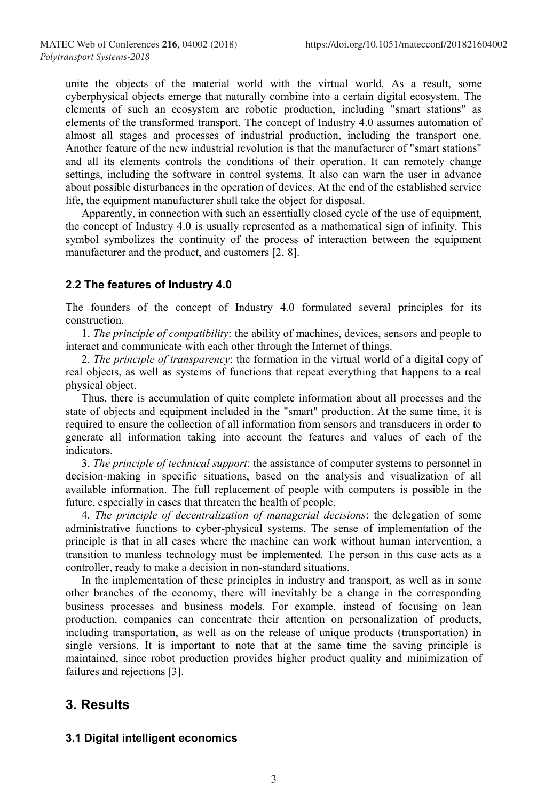unite the objects of the material world with the virtual world. As a result, some cyberphysical objects emerge that naturally combine into a certain digital ecosystem. The elements of such an ecosystem are robotic production, including "smart stations" as elements of the transformed transport. The concept of Industry 4.0 assumes automation of almost all stages and processes of industrial production, including the transport one. Another feature of the new industrial revolution is that the manufacturer of "smart stations" and all its elements controls the conditions of their operation. It can remotely change settings, including the software in control systems. It also can warn the user in advance about possible disturbances in the operation of devices. At the end of the established service life, the equipment manufacturer shall take the object for disposal.

Apparently, in connection with such an essentially closed cycle of the use of equipment, the concept of Industry 4.0 is usually represented as a mathematical sign of infinity. This symbol symbolizes the continuity of the process of interaction between the equipment manufacturer and the product, and customers [2, 8].

### **2.2 The features of Industry 4.0**

The founders of the concept of Industry 4.0 formulated several principles for its construction.

1. *The principle of compatibility*: the ability of machines, devices, sensors and people to interact and communicate with each other through the Internet of things.

2. *The principle of transparency*: the formation in the virtual world of a digital copy of real objects, as well as systems of functions that repeat everything that happens to a real physical object.

Thus, there is accumulation of quite complete information about all processes and the state of objects and equipment included in the "smart" production. At the same time, it is required to ensure the collection of all information from sensors and transducers in order to generate all information taking into account the features and values of each of the indicators.

3. *The principle of technical support*: the assistance of computer systems to personnel in decision-making in specific situations, based on the analysis and visualization of all available information. The full replacement of people with computers is possible in the future, especially in cases that threaten the health of people.

4. *The principle of decentralization of managerial decisions*: the delegation of some administrative functions to cyber-physical systems. The sense of implementation of the principle is that in all cases where the machine can work without human intervention, a transition to manless technology must be implemented. The person in this case acts as a controller, ready to make a decision in non-standard situations.

In the implementation of these principles in industry and transport, as well as in some other branches of the economy, there will inevitably be a change in the corresponding business processes and business models. For example, instead of focusing on lean production, companies can concentrate their attention on personalization of products, including transportation, as well as on the release of unique products (transportation) in single versions. It is important to note that at the same time the saving principle is maintained, since robot production provides higher product quality and minimization of failures and rejections [3].

# **3. Results**

#### **3.1 Digital intelligent economics**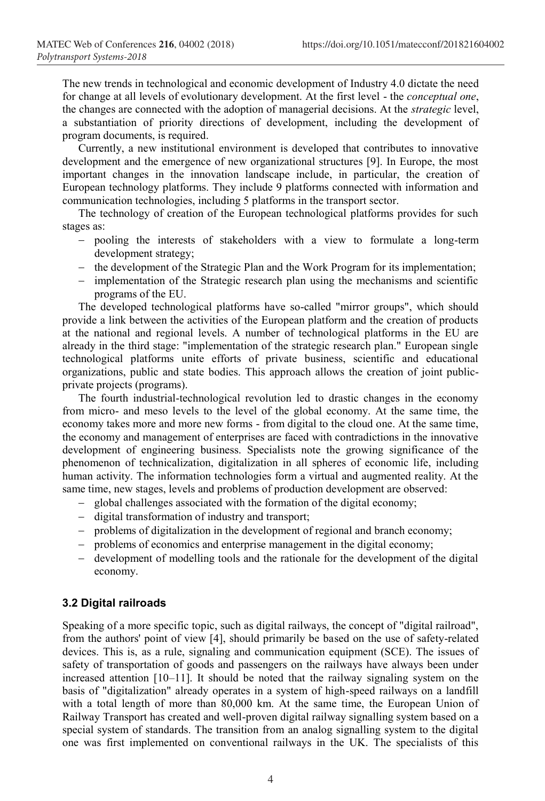The new trends in technological and economic development of Industry 4.0 dictate the need for change at all levels of evolutionary development. At the first level - the *conceptual one*, the changes are connected with the adoption of managerial decisions. At the *strategic* level, a substantiation of priority directions of development, including the development of program documents, is required.

Currently, a new institutional environment is developed that contributes to innovative development and the emergence of new organizational structures [9]. In Europe, the most important changes in the innovation landscape include, in particular, the creation of European technology platforms. They include 9 platforms connected with information and communication technologies, including 5 platforms in the transport sector.

The technology of creation of the European technological platforms provides for such stages as:

- pooling the interests of stakeholders with a view to formulate a long-term development strategy;
- the development of the Strategic Plan and the Work Program for its implementation;
- $\overline{\phantom{a}}$  implementation of the Strategic research plan using the mechanisms and scientific programs of the EU.

The developed technological platforms have so-called "mirror groups", which should provide a link between the activities of the European platform and the creation of products at the national and regional levels. A number of technological platforms in the EU are already in the third stage: "implementation of the strategic research plan." European single technological platforms unite efforts of private business, scientific and educational organizations, public and state bodies. This approach allows the creation of joint publicprivate projects (programs).

The fourth industrial-technological revolution led to drastic changes in the economy from micro- and meso levels to the level of the global economy. At the same time, the economy takes more and more new forms - from digital to the cloud one. At the same time, the economy and management of enterprises are faced with contradictions in the innovative development of engineering business. Specialists note the growing significance of the phenomenon of technicalization, digitalization in all spheres of economic life, including human activity. The information technologies form a virtual and augmented reality. At the same time, new stages, levels and problems of production development are observed:

- global challenges associated with the formation of the digital economy;
- digital transformation of industry and transport;
- problems of digitalization in the development of regional and branch economy;
- problems of economics and enterprise management in the digital economy;
- development of modelling tools and the rationale for the development of the digital economy.

#### **3.2 Digital railroads**

Speaking of a more specific topic, such as digital railways, the concept of "digital railroad", from the authors' point of view [4], should primarily be based on the use of safety-related devices. This is, as a rule, signaling and communication equipment (SCE). The issues of safety of transportation of goods and passengers on the railways have always been under increased attention [10–11]. It should be noted that the railway signaling system on the basis of "digitalization" already operates in a system of high-speed railways on a landfill with a total length of more than 80,000 km. At the same time, the European Union of Railway Transport has created and well-proven digital railway signalling system based on a special system of standards. The transition from an analog signalling system to the digital one was first implemented on conventional railways in the UK. The specialists of this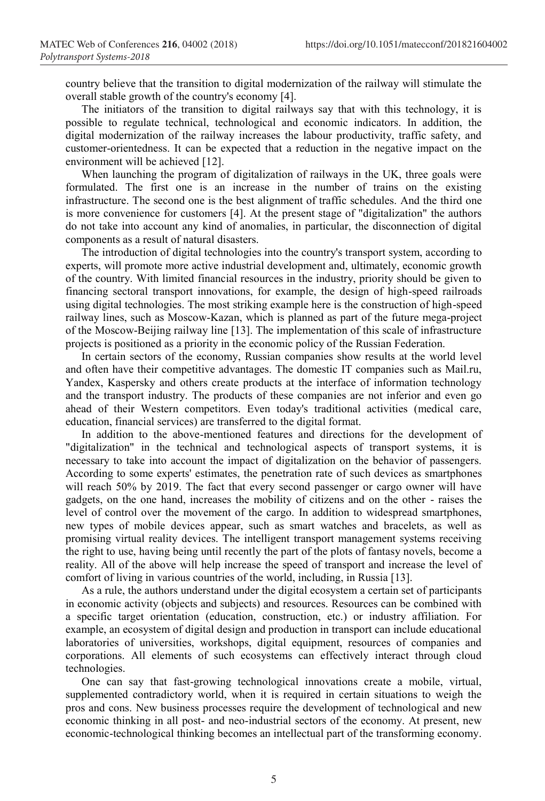country believe that the transition to digital modernization of the railway will stimulate the overall stable growth of the country's economy [4].

The initiators of the transition to digital railways say that with this technology, it is possible to regulate technical, technological and economic indicators. In addition, the digital modernization of the railway increases the labour productivity, traffic safety, and customer-orientedness. It can be expected that a reduction in the negative impact on the environment will be achieved [12].

When launching the program of digitalization of railways in the UK, three goals were formulated. The first one is an increase in the number of trains on the existing infrastructure. The second one is the best alignment of traffic schedules. And the third one is more convenience for customers [4]. At the present stage of "digitalization" the authors do not take into account any kind of anomalies, in particular, the disconnection of digital components as a result of natural disasters.

The introduction of digital technologies into the country's transport system, according to experts, will promote more active industrial development and, ultimately, economic growth of the country. With limited financial resources in the industry, priority should be given to financing sectoral transport innovations, for example, the design of high-speed railroads using digital technologies. The most striking example here is the construction of high-speed railway lines, such as Moscow-Kazan, which is planned as part of the future mega-project of the Moscow-Beijing railway line [13]. The implementation of this scale of infrastructure projects is positioned as a priority in the economic policy of the Russian Federation.

In certain sectors of the economy, Russian companies show results at the world level and often have their competitive advantages. The domestic IT companies such as Mail.ru, Yandex, Kaspersky and others create products at the interface of information technology and the transport industry. The products of these companies are not inferior and even go ahead of their Western competitors. Even today's traditional activities (medical care, education, financial services) are transferred to the digital format.

In addition to the above-mentioned features and directions for the development of "digitalization" in the technical and technological aspects of transport systems, it is necessary to take into account the impact of digitalization on the behavior of passengers. According to some experts' estimates, the penetration rate of such devices as smartphones will reach 50% by 2019. The fact that every second passenger or cargo owner will have gadgets, on the one hand, increases the mobility of citizens and on the other - raises the level of control over the movement of the cargo. In addition to widespread smartphones, new types of mobile devices appear, such as smart watches and bracelets, as well as promising virtual reality devices. The intelligent transport management systems receiving the right to use, having being until recently the part of the plots of fantasy novels, become a reality. All of the above will help increase the speed of transport and increase the level of comfort of living in various countries of the world, including, in Russia [13].

As a rule, the authors understand under the digital ecosystem a certain set of participants in economic activity (objects and subjects) and resources. Resources can be combined with a specific target orientation (education, construction, etc.) or industry affiliation. For example, an ecosystem of digital design and production in transport can include educational laboratories of universities, workshops, digital equipment, resources of companies and corporations. All elements of such ecosystems can effectively interact through cloud technologies.

One can say that fast-growing technological innovations create a mobile, virtual, supplemented contradictory world, when it is required in certain situations to weigh the pros and cons. New business processes require the development of technological and new economic thinking in all post- and neo-industrial sectors of the economy. At present, new economic-technological thinking becomes an intellectual part of the transforming economy.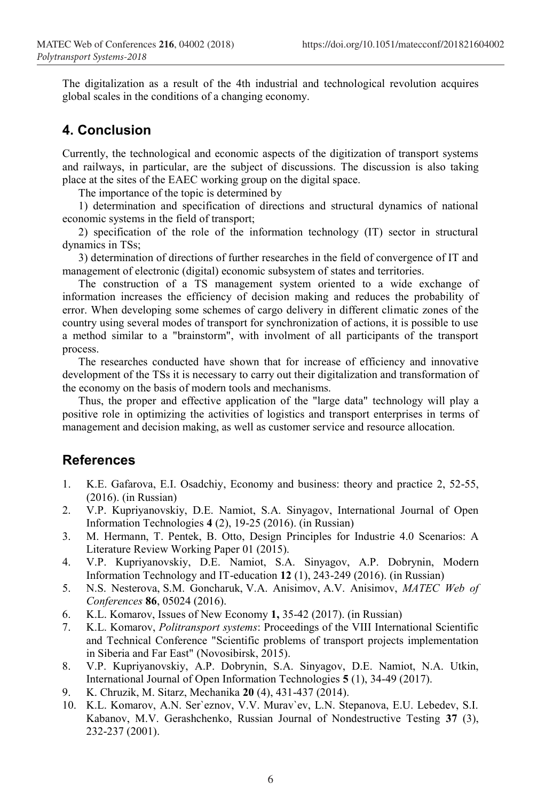The digitalization as a result of the 4th industrial and technological revolution acquires global scales in the conditions of a changing economy.

## **4. Conclusion**

Currently, the technological and economic aspects of the digitization of transport systems and railways, in particular, are the subject of discussions. The discussion is also taking place at the sites of the EAEC working group on the digital space.

The importance of the topic is determined by

1) determination and specification of directions and structural dynamics of national economic systems in the field of transport;

2) specification of the role of the information technology (IT) sector in structural dynamics in TSs;

3) determination of directions of further researches in the field of convergence of IT and management of electronic (digital) economic subsystem of states and territories.

The construction of a TS management system oriented to a wide exchange of information increases the efficiency of decision making and reduces the probability of error. When developing some schemes of cargo delivery in different climatic zones of the country using several modes of transport for synchronization of actions, it is possible to use a method similar to a "brainstorm", with involment of all participants of the transport process.

The researches conducted have shown that for increase of efficiency and innovative development of the TSs it is necessary to carry out their digitalization and transformation of the economy on the basis of modern tools and mechanisms.

Thus, the proper and effective application of the "large data" technology will play a positive role in optimizing the activities of logistics and transport enterprises in terms of management and decision making, as well as customer service and resource allocation.

### **References**

- 1. K.E. Gafarova, E.I. Osadchiy, Economy and business: theory and practice 2, 52-55, (2016). (in Russian)
- 2. V.P. Kupriyanovskiy, D.E. Namiot, S.А. Sinyagov, International Journal of Open Information Technologies **4** (2), 19-25 (2016). (in Russian)
- 3. M. Hermann, T. Pentek, B. Otto, Design Principles for Industrie 4.0 Scenarios: A Literature Review Working Paper 01 (2015).
- 4. V.P. Kupriyanovskiy, D.E. Namiot, S.А. Sinyagov, А.P. Dobrynin, Modern Information Technology and IT-education **12** (1), 243-249 (2016). (in Russian)
- 5. N.S. Nesterova, S.M. Goncharuk, V.A. Anisimov, A.V. Anisimov, *MATEC Web of Conferences* **86**, 05024 (2016).
- 6. K.L. Komarov, Issues of New Economy **1,** 35-42 (2017). (in Russian)
- 7. K.L. Komarov, *Politransport systems*: Proceedings of the VIII International Scientific and Technical Conference "Scientific problems of transport projects implementation in Siberia and Far East" (Novosibirsk, 2015).
- 8. V.P. Kupriyanovskiy, А.P. Dobrynin, S.А. Sinyagov, D.E. Namiot, N.А. Utkin, International Journal of Open Information Technologies **5** (1), 34-49 (2017).
- 9. K. Chruzik, M. Sitarz, Mechanika **20** (4), 431-437 (2014).
- 10. K.L. Komarov, A.N. Ser`eznov, V.V. Murav`ev, L.N. Stepanova, E.U. Lebedev, S.I. Kabanov, M.V. Gerashchenko, Russian Journal of Nondestructive Testing **37** (3), 232-237 (2001).